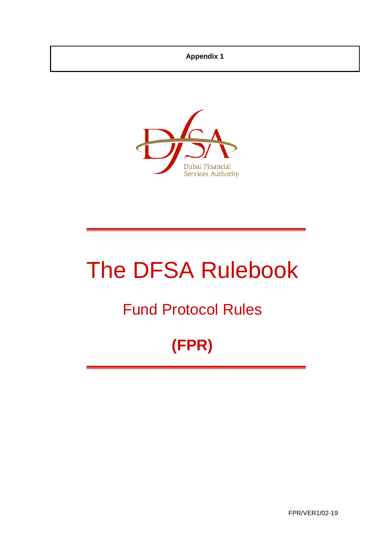# **Appendix 1**



# The DFSA Rulebook

# Fund Protocol Rules

# **(FPR)**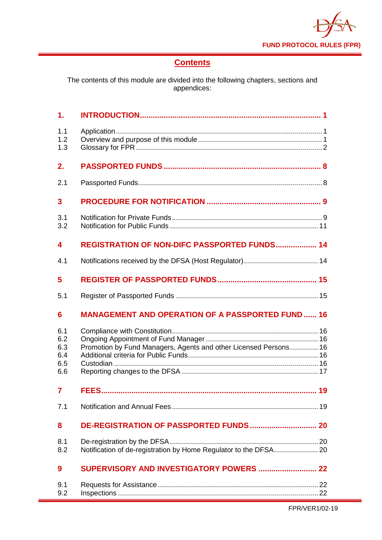

# **Contents**

The contents of this module are divided into the following chapters, sections and appendices:

| 1.                                     |                                                                  |
|----------------------------------------|------------------------------------------------------------------|
| 1.1<br>1.2<br>1.3                      |                                                                  |
| 2.                                     |                                                                  |
| 2.1                                    |                                                                  |
| $\overline{\mathbf{3}}$                |                                                                  |
| 3.1<br>3.2                             |                                                                  |
| 4                                      | REGISTRATION OF NON-DIFC PASSPORTED FUNDS 14                     |
| 4.1                                    |                                                                  |
| 5                                      |                                                                  |
| 5.1                                    |                                                                  |
|                                        |                                                                  |
| 6                                      | <b>MANAGEMENT AND OPERATION OF A PASSPORTED FUND 16</b>          |
| 6.1<br>6.2<br>6.3<br>6.4<br>6.5<br>6.6 | Promotion by Fund Managers, Agents and other Licensed Persons 16 |
| $\overline{\mathbf{z}}$                |                                                                  |
| 7.1                                    |                                                                  |
| 8                                      |                                                                  |
| 8.1<br>8.2                             | Notification of de-registration by Home Regulator to the DFSA 20 |
| $\boldsymbol{9}$                       |                                                                  |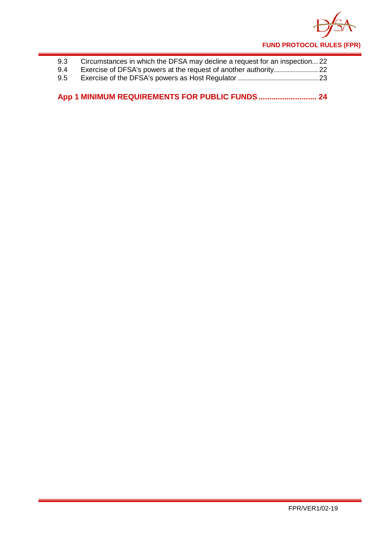

| 9.3 | Circumstances in which the DFSA may decline a request for an inspection 22 |  |
|-----|----------------------------------------------------------------------------|--|
| 9.4 |                                                                            |  |
| 9.5 |                                                                            |  |

**App 1 [MINIMUM REQUIREMENTS FOR PUBLIC FUNDS...........................](#page-26-0) 24**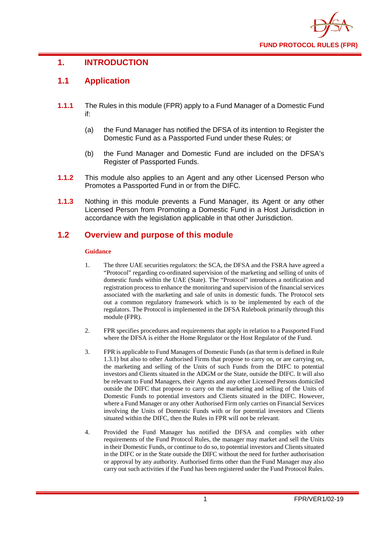

# <span id="page-3-0"></span>**1. INTRODUCTION**

# <span id="page-3-1"></span>**1.1 Application**

- **1.1.1** The Rules in this module (FPR) apply to a Fund Manager of a Domestic Fund if:
	- (a) the Fund Manager has notified the DFSA of its intention to Register the Domestic Fund as a Passported Fund under these Rules; or
	- (b) the Fund Manager and Domestic Fund are included on the DFSA's Register of Passported Funds.
- **1.1.2** This module also applies to an Agent and any other Licensed Person who Promotes a Passported Fund in or from the DIFC.
- **1.1.3** Nothing in this module prevents a Fund Manager, its Agent or any other Licensed Person from Promoting a Domestic Fund in a Host Jurisdiction in accordance with the legislation applicable in that other Jurisdiction.

# <span id="page-3-2"></span>**1.2 Overview and purpose of this module**

#### **Guidance**

- 1. The three UAE securities regulators: the SCA, the DFSA and the FSRA have agreed a "Protocol" regarding co-ordinated supervision of the marketing and selling of units of domestic funds within the UAE (State). The "Protocol" introduces a notification and registration process to enhance the monitoring and supervision of the financial services associated with the marketing and sale of units in domestic funds. The Protocol sets out a common regulatory framework which is to be implemented by each of the regulators. The Protocol is implemented in the DFSA Rulebook primarily through this module (FPR).
- 2. FPR specifies procedures and requirements that apply in relation to a Passported Fund where the DFSA is either the Home Regulator or the Host Regulator of the Fund.
- 3. FPR is applicable to Fund Managers of Domestic Funds (as that term is defined in Rule 1.3.1) but also to other Authorised Firms that propose to carry on, or are carrying on, the marketing and selling of the Units of such Funds from the DIFC to potential investors and Clients situated in the ADGM or the State, outside the DIFC. It will also be relevant to Fund Managers, their Agents and any other Licensed Persons domiciled outside the DIFC that propose to carry on the marketing and selling of the Units of Domestic Funds to potential investors and Clients situated in the DIFC. However, where a Fund Manager or any other Authorised Firm only carries on Financial Services involving the Units of Domestic Funds with or for potential investors and Clients situated within the DIFC, then the Rules in FPR will not be relevant.
- 4. Provided the Fund Manager has notified the DFSA and complies with other requirements of the Fund Protocol Rules, the manager may market and sell the Units in their Domestic Funds, or continue to do so, to potential investors and Clients situated in the DIFC or in the State outside the DIFC without the need for further authorisation or approval by any authority. Authorised firms other than the Fund Manager may also carry out such activities if the Fund has been registered under the Fund Protocol Rules.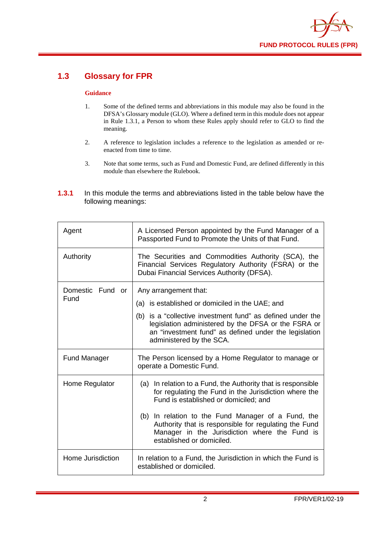

# <span id="page-4-0"></span>**1.3 Glossary for FPR**

#### **Guidance**

- 1. Some of the defined terms and abbreviations in this module may also be found in the DFSA's Glossary module (GLO). Where a defined term in this module does not appear in Rule 1.3.1, a Person to whom these Rules apply should refer to GLO to find the meaning.
- 2. A reference to legislation includes a reference to the legislation as amended or reenacted from time to time.
- 3. Note that some terms, such as Fund and Domestic Fund, are defined differently in this module than elsewhere the Rulebook.
- **1.3.1** In this module the terms and abbreviations listed in the table below have the following meanings:

| Agent               | A Licensed Person appointed by the Fund Manager of a<br>Passported Fund to Promote the Units of that Fund.                                                                                             |
|---------------------|--------------------------------------------------------------------------------------------------------------------------------------------------------------------------------------------------------|
| Authority           | The Securities and Commodities Authority (SCA), the<br>Financial Services Regulatory Authority (FSRA) or the<br>Dubai Financial Services Authority (DFSA).                                             |
| Domestic Fund or    | Any arrangement that:                                                                                                                                                                                  |
| Fund                | (a) is established or domiciled in the UAE; and                                                                                                                                                        |
|                     | (b) is a "collective investment fund" as defined under the<br>legislation administered by the DFSA or the FSRA or<br>an "investment fund" as defined under the legislation<br>administered by the SCA. |
| <b>Fund Manager</b> | The Person licensed by a Home Regulator to manage or<br>operate a Domestic Fund.                                                                                                                       |
| Home Regulator      | (a) In relation to a Fund, the Authority that is responsible<br>for regulating the Fund in the Jurisdiction where the<br>Fund is established or domiciled; and                                         |
|                     | (b) In relation to the Fund Manager of a Fund, the<br>Authority that is responsible for regulating the Fund<br>Manager in the Jurisdiction where the Fund is<br>established or domiciled.              |
| Home Jurisdiction   | In relation to a Fund, the Jurisdiction in which the Fund is<br>established or domiciled.                                                                                                              |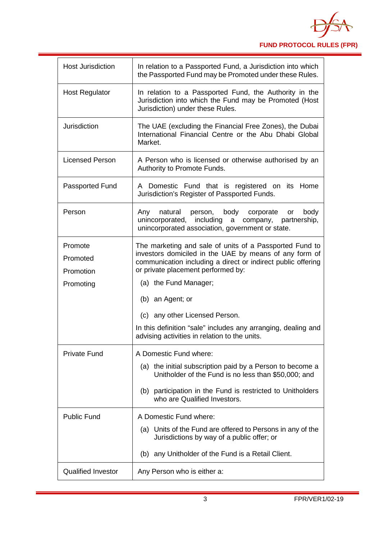

| <b>Host Jurisdiction</b><br>In relation to a Passported Fund, a Jurisdiction into which<br>the Passported Fund may be Promoted under these Rules.<br><b>Host Regulator</b><br>In relation to a Passported Fund, the Authority in the<br>Jurisdiction into which the Fund may be Promoted (Host<br>Jurisdiction) under these Rules.<br><b>Jurisdiction</b><br>The UAE (excluding the Financial Free Zones), the Dubai<br>International Financial Centre or the Abu Dhabi Global<br>Market.<br><b>Licensed Person</b><br>A Person who is licensed or otherwise authorised by an<br>Authority to Promote Funds.<br>A Domestic Fund that is registered on its Home<br>Passported Fund<br>Jurisdiction's Register of Passported Funds.<br>Person<br>body corporate<br>body<br>natural person,<br>Any<br>or<br>unincorporated, including<br>company, partnership,<br>a<br>unincorporated association, government or state.<br>Promote<br>The marketing and sale of units of a Passported Fund to<br>investors domiciled in the UAE by means of any form of<br>Promoted<br>communication including a direct or indirect public offering<br>or private placement performed by:<br>Promotion<br>(a) the Fund Manager;<br>Promoting<br>(b) an Agent; or<br>(c) any other Licensed Person.<br>In this definition "sale" includes any arranging, dealing and<br>advising activities in relation to the units.<br><b>Private Fund</b><br>A Domestic Fund where:<br>(a) the initial subscription paid by a Person to become a<br>Unitholder of the Fund is no less than \$50,000; and<br>(b) participation in the Fund is restricted to Unitholders<br>who are Qualified Investors.<br><b>Public Fund</b><br>A Domestic Fund where:<br>(a) Units of the Fund are offered to Persons in any of the<br>Jurisdictions by way of a public offer; or<br>(b) any Unitholder of the Fund is a Retail Client.<br><b>Qualified Investor</b><br>Any Person who is either a: |
|-----------------------------------------------------------------------------------------------------------------------------------------------------------------------------------------------------------------------------------------------------------------------------------------------------------------------------------------------------------------------------------------------------------------------------------------------------------------------------------------------------------------------------------------------------------------------------------------------------------------------------------------------------------------------------------------------------------------------------------------------------------------------------------------------------------------------------------------------------------------------------------------------------------------------------------------------------------------------------------------------------------------------------------------------------------------------------------------------------------------------------------------------------------------------------------------------------------------------------------------------------------------------------------------------------------------------------------------------------------------------------------------------------------------------------------------------------------------------------------------------------------------------------------------------------------------------------------------------------------------------------------------------------------------------------------------------------------------------------------------------------------------------------------------------------------------------------------------------------------------------------------------------------------------------------------------------------|
|                                                                                                                                                                                                                                                                                                                                                                                                                                                                                                                                                                                                                                                                                                                                                                                                                                                                                                                                                                                                                                                                                                                                                                                                                                                                                                                                                                                                                                                                                                                                                                                                                                                                                                                                                                                                                                                                                                                                                     |
|                                                                                                                                                                                                                                                                                                                                                                                                                                                                                                                                                                                                                                                                                                                                                                                                                                                                                                                                                                                                                                                                                                                                                                                                                                                                                                                                                                                                                                                                                                                                                                                                                                                                                                                                                                                                                                                                                                                                                     |
|                                                                                                                                                                                                                                                                                                                                                                                                                                                                                                                                                                                                                                                                                                                                                                                                                                                                                                                                                                                                                                                                                                                                                                                                                                                                                                                                                                                                                                                                                                                                                                                                                                                                                                                                                                                                                                                                                                                                                     |
|                                                                                                                                                                                                                                                                                                                                                                                                                                                                                                                                                                                                                                                                                                                                                                                                                                                                                                                                                                                                                                                                                                                                                                                                                                                                                                                                                                                                                                                                                                                                                                                                                                                                                                                                                                                                                                                                                                                                                     |
|                                                                                                                                                                                                                                                                                                                                                                                                                                                                                                                                                                                                                                                                                                                                                                                                                                                                                                                                                                                                                                                                                                                                                                                                                                                                                                                                                                                                                                                                                                                                                                                                                                                                                                                                                                                                                                                                                                                                                     |
|                                                                                                                                                                                                                                                                                                                                                                                                                                                                                                                                                                                                                                                                                                                                                                                                                                                                                                                                                                                                                                                                                                                                                                                                                                                                                                                                                                                                                                                                                                                                                                                                                                                                                                                                                                                                                                                                                                                                                     |
|                                                                                                                                                                                                                                                                                                                                                                                                                                                                                                                                                                                                                                                                                                                                                                                                                                                                                                                                                                                                                                                                                                                                                                                                                                                                                                                                                                                                                                                                                                                                                                                                                                                                                                                                                                                                                                                                                                                                                     |
|                                                                                                                                                                                                                                                                                                                                                                                                                                                                                                                                                                                                                                                                                                                                                                                                                                                                                                                                                                                                                                                                                                                                                                                                                                                                                                                                                                                                                                                                                                                                                                                                                                                                                                                                                                                                                                                                                                                                                     |
|                                                                                                                                                                                                                                                                                                                                                                                                                                                                                                                                                                                                                                                                                                                                                                                                                                                                                                                                                                                                                                                                                                                                                                                                                                                                                                                                                                                                                                                                                                                                                                                                                                                                                                                                                                                                                                                                                                                                                     |
|                                                                                                                                                                                                                                                                                                                                                                                                                                                                                                                                                                                                                                                                                                                                                                                                                                                                                                                                                                                                                                                                                                                                                                                                                                                                                                                                                                                                                                                                                                                                                                                                                                                                                                                                                                                                                                                                                                                                                     |
|                                                                                                                                                                                                                                                                                                                                                                                                                                                                                                                                                                                                                                                                                                                                                                                                                                                                                                                                                                                                                                                                                                                                                                                                                                                                                                                                                                                                                                                                                                                                                                                                                                                                                                                                                                                                                                                                                                                                                     |
|                                                                                                                                                                                                                                                                                                                                                                                                                                                                                                                                                                                                                                                                                                                                                                                                                                                                                                                                                                                                                                                                                                                                                                                                                                                                                                                                                                                                                                                                                                                                                                                                                                                                                                                                                                                                                                                                                                                                                     |
|                                                                                                                                                                                                                                                                                                                                                                                                                                                                                                                                                                                                                                                                                                                                                                                                                                                                                                                                                                                                                                                                                                                                                                                                                                                                                                                                                                                                                                                                                                                                                                                                                                                                                                                                                                                                                                                                                                                                                     |
|                                                                                                                                                                                                                                                                                                                                                                                                                                                                                                                                                                                                                                                                                                                                                                                                                                                                                                                                                                                                                                                                                                                                                                                                                                                                                                                                                                                                                                                                                                                                                                                                                                                                                                                                                                                                                                                                                                                                                     |
|                                                                                                                                                                                                                                                                                                                                                                                                                                                                                                                                                                                                                                                                                                                                                                                                                                                                                                                                                                                                                                                                                                                                                                                                                                                                                                                                                                                                                                                                                                                                                                                                                                                                                                                                                                                                                                                                                                                                                     |
|                                                                                                                                                                                                                                                                                                                                                                                                                                                                                                                                                                                                                                                                                                                                                                                                                                                                                                                                                                                                                                                                                                                                                                                                                                                                                                                                                                                                                                                                                                                                                                                                                                                                                                                                                                                                                                                                                                                                                     |
|                                                                                                                                                                                                                                                                                                                                                                                                                                                                                                                                                                                                                                                                                                                                                                                                                                                                                                                                                                                                                                                                                                                                                                                                                                                                                                                                                                                                                                                                                                                                                                                                                                                                                                                                                                                                                                                                                                                                                     |
|                                                                                                                                                                                                                                                                                                                                                                                                                                                                                                                                                                                                                                                                                                                                                                                                                                                                                                                                                                                                                                                                                                                                                                                                                                                                                                                                                                                                                                                                                                                                                                                                                                                                                                                                                                                                                                                                                                                                                     |
|                                                                                                                                                                                                                                                                                                                                                                                                                                                                                                                                                                                                                                                                                                                                                                                                                                                                                                                                                                                                                                                                                                                                                                                                                                                                                                                                                                                                                                                                                                                                                                                                                                                                                                                                                                                                                                                                                                                                                     |
|                                                                                                                                                                                                                                                                                                                                                                                                                                                                                                                                                                                                                                                                                                                                                                                                                                                                                                                                                                                                                                                                                                                                                                                                                                                                                                                                                                                                                                                                                                                                                                                                                                                                                                                                                                                                                                                                                                                                                     |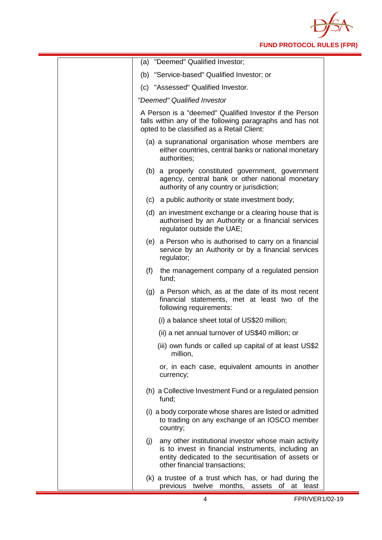

| (a) "Deemed" Qualified Investor;                                                                                                                                                                           |
|------------------------------------------------------------------------------------------------------------------------------------------------------------------------------------------------------------|
| (b) "Service-based" Qualified Investor; or                                                                                                                                                                 |
| (c) "Assessed" Qualified Investor.                                                                                                                                                                         |
| "Deemed" Qualified Investor                                                                                                                                                                                |
| A Person is a "deemed" Qualified Investor if the Person<br>falls within any of the following paragraphs and has not<br>opted to be classified as a Retail Client:                                          |
| (a) a supranational organisation whose members are<br>either countries, central banks or national monetary<br>authorities;                                                                                 |
| (b) a properly constituted government, government<br>agency, central bank or other national monetary<br>authority of any country or jurisdiction;                                                          |
| (c) a public authority or state investment body;                                                                                                                                                           |
| (d) an investment exchange or a clearing house that is<br>authorised by an Authority or a financial services<br>regulator outside the UAE;                                                                 |
| (e) a Person who is authorised to carry on a financial<br>service by an Authority or by a financial services<br>regulator;                                                                                 |
| (f)<br>the management company of a regulated pension<br>fund;                                                                                                                                              |
| (g) a Person which, as at the date of its most recent<br>financial statements, met at least two of the<br>following requirements:                                                                          |
| (i) a balance sheet total of US\$20 million;                                                                                                                                                               |
| (ii) a net annual turnover of US\$40 million; or                                                                                                                                                           |
| (iii) own funds or called up capital of at least US\$2<br>million,                                                                                                                                         |
| or, in each case, equivalent amounts in another<br>currency;                                                                                                                                               |
| (h) a Collective Investment Fund or a regulated pension<br>fund:                                                                                                                                           |
| (i) a body corporate whose shares are listed or admitted<br>to trading on any exchange of an IOSCO member<br>country;                                                                                      |
| any other institutional investor whose main activity<br>(j)<br>is to invest in financial instruments, including an<br>entity dedicated to the securitisation of assets or<br>other financial transactions; |
| (k) a trustee of a trust which has, or had during the<br>previous twelve months,<br>assets of at least                                                                                                     |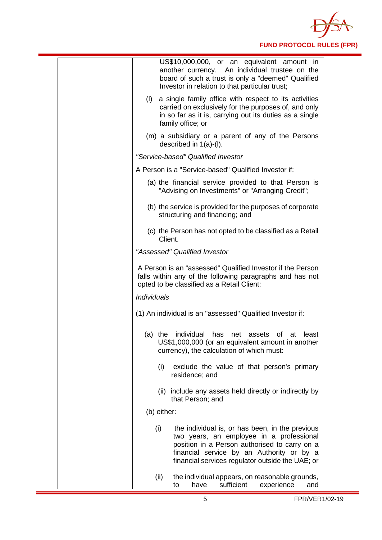

| US\$10,000,000, or an equivalent amount in<br>another currency. An individual trustee on the<br>board of such a trust is only a "deemed" Qualified<br>Investor in relation to that particular trust;                                                 |
|------------------------------------------------------------------------------------------------------------------------------------------------------------------------------------------------------------------------------------------------------|
| a single family office with respect to its activities<br>(I)<br>carried on exclusively for the purposes of, and only<br>in so far as it is, carrying out its duties as a single<br>family office; or                                                 |
| (m) a subsidiary or a parent of any of the Persons<br>described in $1(a)-(I)$ .                                                                                                                                                                      |
| "Service-based" Qualified Investor                                                                                                                                                                                                                   |
| A Person is a "Service-based" Qualified Investor if:                                                                                                                                                                                                 |
| (a) the financial service provided to that Person is<br>"Advising on Investments" or "Arranging Credit";                                                                                                                                             |
| (b) the service is provided for the purposes of corporate<br>structuring and financing; and                                                                                                                                                          |
| (c) the Person has not opted to be classified as a Retail<br>Client.                                                                                                                                                                                 |
| "Assessed" Qualified Investor                                                                                                                                                                                                                        |
| A Person is an "assessed" Qualified Investor if the Person<br>falls within any of the following paragraphs and has not<br>opted to be classified as a Retail Client:                                                                                 |
| <b>Individuals</b>                                                                                                                                                                                                                                   |
| (1) An individual is an "assessed" Qualified Investor if:                                                                                                                                                                                            |
| (a) the individual has<br>net assets of at<br>least<br>US\$1,000,000 (or an equivalent amount in another<br>currency), the calculation of which must:                                                                                                |
| (i)<br>exclude the value of that person's primary<br>residence; and                                                                                                                                                                                  |
| (ii) include any assets held directly or indirectly by<br>that Person; and                                                                                                                                                                           |
| (b) either:                                                                                                                                                                                                                                          |
| (i)<br>the individual is, or has been, in the previous<br>two years, an employee in a professional<br>position in a Person authorised to carry on a<br>financial service by an Authority or by a<br>financial services regulator outside the UAE; or |
| (ii)<br>the individual appears, on reasonable grounds,<br>sufficient<br>experience<br>have<br>to<br>and                                                                                                                                              |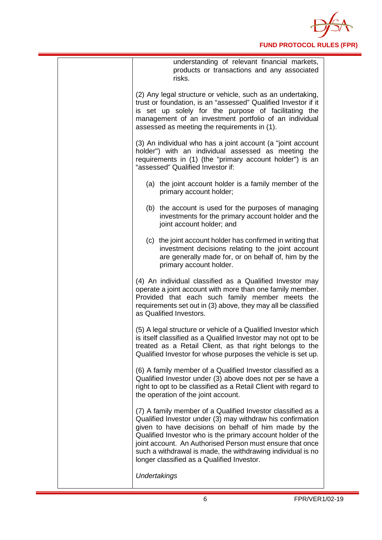

| understanding of relevant financial markets,<br>products or transactions and any associated<br>risks.                                                                                                                                                                                                                                                                                                                      |
|----------------------------------------------------------------------------------------------------------------------------------------------------------------------------------------------------------------------------------------------------------------------------------------------------------------------------------------------------------------------------------------------------------------------------|
| (2) Any legal structure or vehicle, such as an undertaking,<br>trust or foundation, is an "assessed" Qualified Investor if it<br>is set up solely for the purpose of facilitating the<br>management of an investment portfolio of an individual<br>assessed as meeting the requirements in (1).                                                                                                                            |
| (3) An individual who has a joint account (a "joint account<br>holder") with an individual assessed as meeting the<br>requirements in (1) (the "primary account holder") is an<br>"assessed" Qualified Investor if:                                                                                                                                                                                                        |
| (a) the joint account holder is a family member of the<br>primary account holder;                                                                                                                                                                                                                                                                                                                                          |
| (b) the account is used for the purposes of managing<br>investments for the primary account holder and the<br>joint account holder; and                                                                                                                                                                                                                                                                                    |
| (c) the joint account holder has confirmed in writing that<br>investment decisions relating to the joint account<br>are generally made for, or on behalf of, him by the<br>primary account holder.                                                                                                                                                                                                                         |
| (4) An individual classified as a Qualified Investor may<br>operate a joint account with more than one family member.<br>Provided that each such family member meets the<br>requirements set out in (3) above, they may all be classified<br>as Qualified Investors.                                                                                                                                                       |
| (5) A legal structure or vehicle of a Qualified Investor which<br>is itself classified as a Qualified Investor may not opt to be<br>treated as a Retail Client, as that right belongs to the<br>Qualified Investor for whose purposes the vehicle is set up.                                                                                                                                                               |
| (6) A family member of a Qualified Investor classified as a<br>Qualified Investor under (3) above does not per se have a<br>right to opt to be classified as a Retail Client with regard to<br>the operation of the joint account.                                                                                                                                                                                         |
| (7) A family member of a Qualified Investor classified as a<br>Qualified Investor under (3) may withdraw his confirmation<br>given to have decisions on behalf of him made by the<br>Qualified Investor who is the primary account holder of the<br>joint account. An Authorised Person must ensure that once<br>such a withdrawal is made, the withdrawing individual is no<br>longer classified as a Qualified Investor. |
| Undertakings                                                                                                                                                                                                                                                                                                                                                                                                               |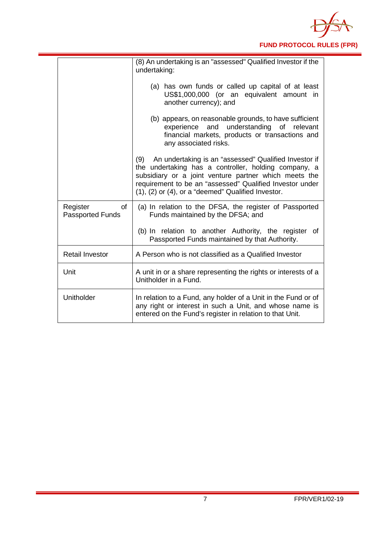

|                                     | (8) An undertaking is an "assessed" Qualified Investor if the<br>undertaking:                                                                                                                                                                                                                           |
|-------------------------------------|---------------------------------------------------------------------------------------------------------------------------------------------------------------------------------------------------------------------------------------------------------------------------------------------------------|
|                                     | (a) has own funds or called up capital of at least<br>US\$1,000,000 (or an equivalent amount in<br>another currency); and                                                                                                                                                                               |
|                                     | (b) appears, on reasonable grounds, to have sufficient<br>experience<br>and<br>understanding of relevant<br>financial markets, products or transactions and<br>any associated risks.                                                                                                                    |
|                                     | An undertaking is an "assessed" Qualified Investor if<br>(9)<br>the undertaking has a controller, holding company, a<br>subsidiary or a joint venture partner which meets the<br>requirement to be an "assessed" Qualified Investor under<br>$(1)$ , $(2)$ or $(4)$ , or a "deemed" Qualified Investor. |
| Register<br><b>Passported Funds</b> | of<br>(a) In relation to the DFSA, the register of Passported<br>Funds maintained by the DFSA; and                                                                                                                                                                                                      |
|                                     | (b) In relation to another Authority, the register of<br>Passported Funds maintained by that Authority.                                                                                                                                                                                                 |
| <b>Retail Investor</b>              | A Person who is not classified as a Qualified Investor                                                                                                                                                                                                                                                  |
| Unit                                | A unit in or a share representing the rights or interests of a<br>Unitholder in a Fund.                                                                                                                                                                                                                 |
| Unitholder                          | In relation to a Fund, any holder of a Unit in the Fund or of<br>any right or interest in such a Unit, and whose name is<br>entered on the Fund's register in relation to that Unit.                                                                                                                    |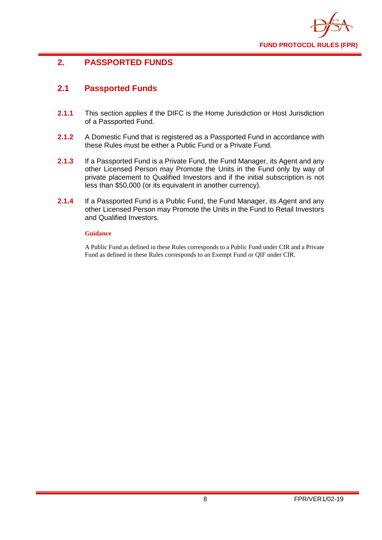

# <span id="page-10-0"></span>**2. PASSPORTED FUNDS**

# <span id="page-10-1"></span>**2.1 Passported Funds**

- **2.1.1** This section applies if the DIFC is the Home Jurisdiction or Host Jurisdiction of a Passported Fund.
- **2.1.2** A Domestic Fund that is registered as a Passported Fund in accordance with these Rules must be either a Public Fund or a Private Fund.
- **2.1.3** If a Passported Fund is a Private Fund, the Fund Manager, its Agent and any other Licensed Person may Promote the Units in the Fund only by way of private placement to Qualified Investors and if the initial subscription is not less than \$50,000 (or its equivalent in another currency).
- **2.1.4** If a Passported Fund is a Public Fund, the Fund Manager, its Agent and any other Licensed Person may Promote the Units in the Fund to Retail Investors and Qualified Investors.

#### **Guidance**

A Public Fund as defined in these Rules corresponds to a Public Fund under CIR and a Private Fund as defined in these Rules corresponds to an Exempt Fund or QIF under CIR.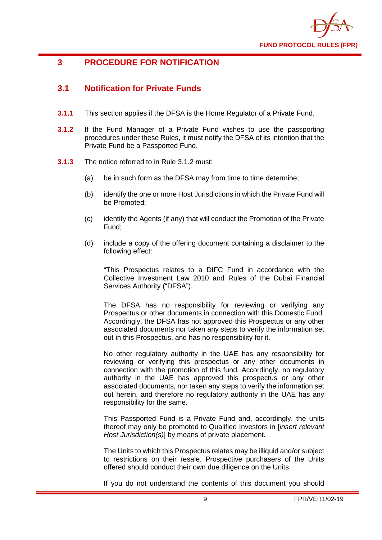

# <span id="page-11-0"></span>**3 PROCEDURE FOR NOTIFICATION**

# <span id="page-11-1"></span>**3.1 Notification for Private Funds**

- **3.1.1** This section applies if the DFSA is the Home Regulator of a Private Fund.
- **3.1.2** If the Fund Manager of a Private Fund wishes to use the passporting procedures under these Rules, it must notify the DFSA of its intention that the Private Fund be a Passported Fund.
- **3.1.3** The notice referred to in Rule 3.1.2 must:
	- (a) be in such form as the DFSA may from time to time determine;
	- (b) identify the one or more Host Jurisdictions in which the Private Fund will be Promoted;
	- (c) identify the Agents (if any) that will conduct the Promotion of the Private Fund;
	- (d) include a copy of the offering document containing a disclaimer to the following effect:

"This Prospectus relates to a DIFC Fund in accordance with the Collective Investment Law 2010 and Rules of the Dubai Financial Services Authority ("DFSA").

The DFSA has no responsibility for reviewing or verifying any Prospectus or other documents in connection with this Domestic Fund. Accordingly, the DFSA has not approved this Prospectus or any other associated documents nor taken any steps to verify the information set out in this Prospectus, and has no responsibility for it.

No other regulatory authority in the UAE has any responsibility for reviewing or verifying this prospectus or any other documents in connection with the promotion of this fund. Accordingly, no regulatory authority in the UAE has approved this prospectus or any other associated documents, nor taken any steps to verify the information set out herein, and therefore no regulatory authority in the UAE has any responsibility for the same.

This Passported Fund is a Private Fund and, accordingly, the units thereof may only be promoted to Qualified Investors in [*insert relevant Host Jurisdiction(s)*] by means of private placement.

The Units to which this Prospectus relates may be illiquid and/or subject to restrictions on their resale. Prospective purchasers of the Units offered should conduct their own due diligence on the Units.

If you do not understand the contents of this document you should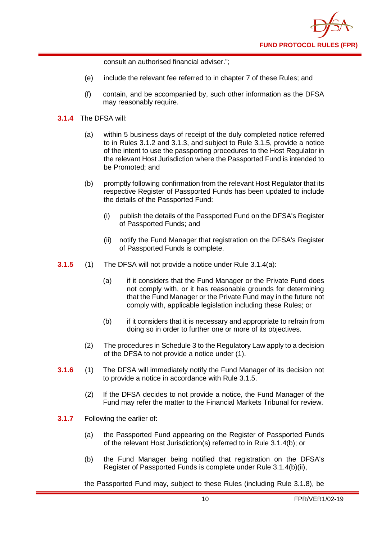

consult an authorised financial adviser.";

- (e) include the relevant fee referred to in chapter 7 of these Rules; and
- (f) contain, and be accompanied by, such other information as the DFSA may reasonably require.
- **3.1.4** The DFSA will:
	- (a) within 5 business days of receipt of the duly completed notice referred to in Rules 3.1.2 and 3.1.3, and subject to Rule 3.1.5, provide a notice of the intent to use the passporting procedures to the Host Regulator in the relevant Host Jurisdiction where the Passported Fund is intended to be Promoted; and
	- (b) promptly following confirmation from the relevant Host Regulator that its respective Register of Passported Funds has been updated to include the details of the Passported Fund:
		- (i) publish the details of the Passported Fund on the DFSA's Register of Passported Funds; and
		- (ii) notify the Fund Manager that registration on the DFSA's Register of Passported Funds is complete.
- **3.1.5** (1) The DFSA will not provide a notice under Rule 3.1.4(a):
	- (a) if it considers that the Fund Manager or the Private Fund does not comply with, or it has reasonable grounds for determining that the Fund Manager or the Private Fund may in the future not comply with, applicable legislation including these Rules; or
	- (b) if it considers that it is necessary and appropriate to refrain from doing so in order to further one or more of its objectives.
	- (2) The procedures in Schedule 3 to the Regulatory Law apply to a decision of the DFSA to not provide a notice under (1).
- **3.1.6** (1) The DFSA will immediately notify the Fund Manager of its decision not to provide a notice in accordance with Rule 3.1.5.
	- (2) If the DFSA decides to not provide a notice, the Fund Manager of the Fund may refer the matter to the Financial Markets Tribunal for review.
- **3.1.7** Following the earlier of:
	- (a) the Passported Fund appearing on the Register of Passported Funds of the relevant Host Jurisdiction(s) referred to in Rule 3.1.4(b); or
	- (b) the Fund Manager being notified that registration on the DFSA's Register of Passported Funds is complete under Rule 3.1.4(b)(ii),

the Passported Fund may, subject to these Rules (including Rule 3.1.8), be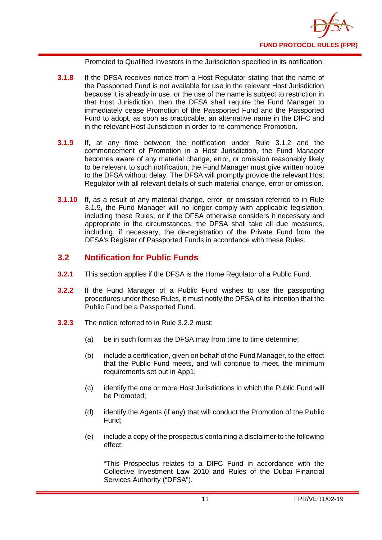

Promoted to Qualified Investors in the Jurisdiction specified in its notification.

- **3.1.8** If the DFSA receives notice from a Host Regulator stating that the name of the Passported Fund is not available for use in the relevant Host Jurisdiction because it is already in use, or the use of the name is subject to restriction in that Host Jurisdiction, then the DFSA shall require the Fund Manager to immediately cease Promotion of the Passported Fund and the Passported Fund to adopt, as soon as practicable, an alternative name in the DIFC and in the relevant Host Jurisdiction in order to re-commence Promotion.
- **3.1.9** If, at any time between the notification under Rule 3.1.2 and the commencement of Promotion in a Host Jurisdiction, the Fund Manager becomes aware of any material change, error, or omission reasonably likely to be relevant to such notification, the Fund Manager must give written notice to the DFSA without delay. The DFSA will promptly provide the relevant Host Regulator with all relevant details of such material change, error or omission.
- **3.1.10** If, as a result of any material change, error, or omission referred to in Rule 3.1.9, the Fund Manager will no longer comply with applicable legislation, including these Rules, or if the DFSA otherwise considers it necessary and appropriate in the circumstances, the DFSA shall take all due measures, including, if necessary, the de-registration of the Private Fund from the DFSA's Register of Passported Funds in accordance with these Rules.

### <span id="page-13-0"></span>**3.2 Notification for Public Funds**

- **3.2.1** This section applies if the DFSA is the Home Regulator of a Public Fund.
- **3.2.2** If the Fund Manager of a Public Fund wishes to use the passporting procedures under these Rules, it must notify the DFSA of its intention that the Public Fund be a Passported Fund.
- **3.2.3** The notice referred to in Rule 3.2.2 must:
	- (a) be in such form as the DFSA may from time to time determine;
	- (b) include a certification, given on behalf of the Fund Manager, to the effect that the Public Fund meets, and will continue to meet, the minimum requirements set out in App1;
	- (c) identify the one or more Host Jurisdictions in which the Public Fund will be Promoted;
	- (d) identify the Agents (if any) that will conduct the Promotion of the Public Fund;
	- (e) include a copy of the prospectus containing a disclaimer to the following effect:

"This Prospectus relates to a DIFC Fund in accordance with the Collective Investment Law 2010 and Rules of the Dubai Financial Services Authority ("DFSA").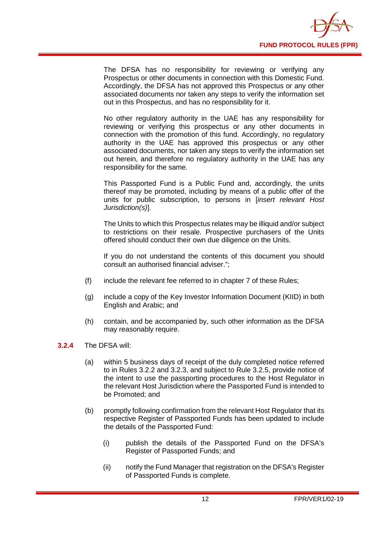

The DFSA has no responsibility for reviewing or verifying any Prospectus or other documents in connection with this Domestic Fund. Accordingly, the DFSA has not approved this Prospectus or any other associated documents nor taken any steps to verify the information set out in this Prospectus, and has no responsibility for it.

No other regulatory authority in the UAE has any responsibility for reviewing or verifying this prospectus or any other documents in connection with the promotion of this fund. Accordingly, no regulatory authority in the UAE has approved this prospectus or any other associated documents, nor taken any steps to verify the information set out herein, and therefore no regulatory authority in the UAE has any responsibility for the same.

This Passported Fund is a Public Fund and, accordingly, the units thereof may be promoted, including by means of a public offer of the units for public subscription, to persons in [*insert relevant Host Jurisdiction(s)*].

The Units to which this Prospectus relates may be illiquid and/or subject to restrictions on their resale. Prospective purchasers of the Units offered should conduct their own due diligence on the Units.

If you do not understand the contents of this document you should consult an authorised financial adviser.";

- (f) include the relevant fee referred to in chapter 7 of these Rules;
- (g) include a copy of the Key Investor Information Document (KIID) in both English and Arabic; and
- (h) contain, and be accompanied by, such other information as the DFSA may reasonably require.
- **3.2.4** The DFSA will:
	- (a) within 5 business days of receipt of the duly completed notice referred to in Rules 3.2.2 and 3.2.3, and subject to Rule 3.2.5, provide notice of the intent to use the passporting procedures to the Host Regulator in the relevant Host Jurisdiction where the Passported Fund is intended to be Promoted; and
	- (b) promptly following confirmation from the relevant Host Regulator that its respective Register of Passported Funds has been updated to include the details of the Passported Fund:
		- (i) publish the details of the Passported Fund on the DFSA's Register of Passported Funds; and
		- (ii) notify the Fund Manager that registration on the DFSA's Register of Passported Funds is complete.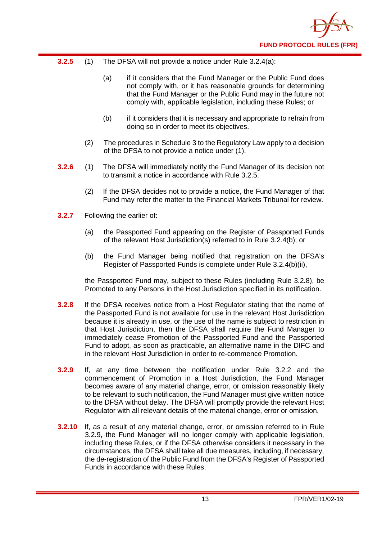

- **3.2.5** (1) The DFSA will not provide a notice under Rule 3.2.4(a):
	- (a) if it considers that the Fund Manager or the Public Fund does not comply with, or it has reasonable grounds for determining that the Fund Manager or the Public Fund may in the future not comply with, applicable legislation, including these Rules; or
	- (b) if it considers that it is necessary and appropriate to refrain from doing so in order to meet its objectives.
	- (2) The procedures in Schedule 3 to the Regulatory Law apply to a decision of the DFSA to not provide a notice under (1).
- **3.2.6** (1) The DFSA will immediately notify the Fund Manager of its decision not to transmit a notice in accordance with Rule 3.2.5.
	- (2) If the DFSA decides not to provide a notice, the Fund Manager of that Fund may refer the matter to the Financial Markets Tribunal for review.
- **3.2.7** Following the earlier of:
	- (a) the Passported Fund appearing on the Register of Passported Funds of the relevant Host Jurisdiction(s) referred to in Rule 3.2.4(b); or
	- (b) the Fund Manager being notified that registration on the DFSA's Register of Passported Funds is complete under Rule 3.2.4(b)(ii),

the Passported Fund may, subject to these Rules (including Rule 3.2.8), be Promoted to any Persons in the Host Jurisdiction specified in its notification.

- **3.2.8** If the DFSA receives notice from a Host Regulator stating that the name of the Passported Fund is not available for use in the relevant Host Jurisdiction because it is already in use, or the use of the name is subject to restriction in that Host Jurisdiction, then the DFSA shall require the Fund Manager to immediately cease Promotion of the Passported Fund and the Passported Fund to adopt, as soon as practicable, an alternative name in the DIFC and in the relevant Host Jurisdiction in order to re-commence Promotion.
- **3.2.9** If, at any time between the notification under Rule 3.2.2 and the commencement of Promotion in a Host Jurisdiction, the Fund Manager becomes aware of any material change, error, or omission reasonably likely to be relevant to such notification, the Fund Manager must give written notice to the DFSA without delay. The DFSA will promptly provide the relevant Host Regulator with all relevant details of the material change, error or omission.
- **3.2.10** If, as a result of any material change, error, or omission referred to in Rule 3.2.9, the Fund Manager will no longer comply with applicable legislation, including these Rules, or if the DFSA otherwise considers it necessary in the circumstances, the DFSA shall take all due measures, including, if necessary, the de-registration of the Public Fund from the DFSA's Register of Passported Funds in accordance with these Rules.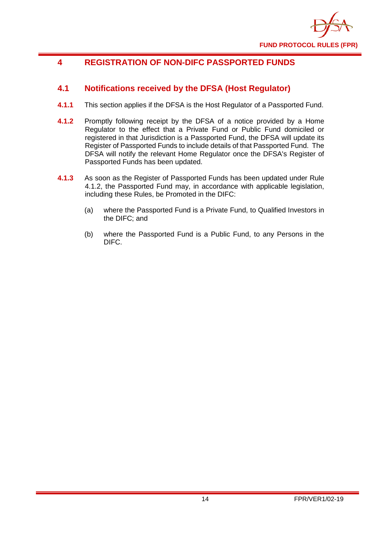

# <span id="page-16-0"></span>**4 REGISTRATION OF NON-DIFC PASSPORTED FUNDS**

# <span id="page-16-1"></span>**4.1 Notifications received by the DFSA (Host Regulator)**

- **4.1.1** This section applies if the DFSA is the Host Regulator of a Passported Fund.
- **4.1.2** Promptly following receipt by the DFSA of a notice provided by a Home Regulator to the effect that a Private Fund or Public Fund domiciled or registered in that Jurisdiction is a Passported Fund, the DFSA will update its Register of Passported Funds to include details of that Passported Fund. The DFSA will notify the relevant Home Regulator once the DFSA's Register of Passported Funds has been updated.
- **4.1.3** As soon as the Register of Passported Funds has been updated under Rule 4.1.2, the Passported Fund may, in accordance with applicable legislation, including these Rules, be Promoted in the DIFC:
	- (a) where the Passported Fund is a Private Fund, to Qualified Investors in the DIFC; and
	- (b) where the Passported Fund is a Public Fund, to any Persons in the DIFC.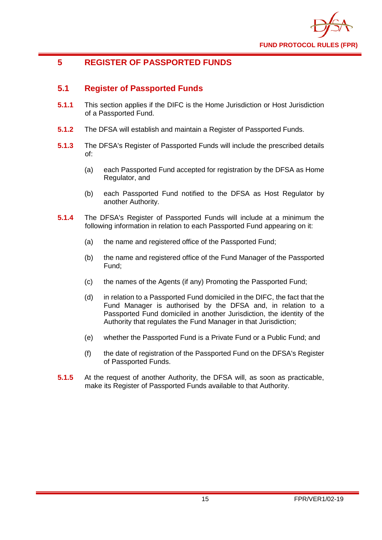

# <span id="page-17-0"></span>**5 REGISTER OF PASSPORTED FUNDS**

# <span id="page-17-1"></span>**5.1 Register of Passported Funds**

- **5.1.1** This section applies if the DIFC is the Home Jurisdiction or Host Jurisdiction of a Passported Fund.
- **5.1.2** The DFSA will establish and maintain a Register of Passported Funds.
- **5.1.3** The DFSA's Register of Passported Funds will include the prescribed details of:
	- (a) each Passported Fund accepted for registration by the DFSA as Home Regulator, and
	- (b) each Passported Fund notified to the DFSA as Host Regulator by another Authority.
- **5.1.4** The DFSA's Register of Passported Funds will include at a minimum the following information in relation to each Passported Fund appearing on it:
	- (a) the name and registered office of the Passported Fund;
	- (b) the name and registered office of the Fund Manager of the Passported Fund;
	- (c) the names of the Agents (if any) Promoting the Passported Fund;
	- (d) in relation to a Passported Fund domiciled in the DIFC, the fact that the Fund Manager is authorised by the DFSA and, in relation to a Passported Fund domiciled in another Jurisdiction, the identity of the Authority that regulates the Fund Manager in that Jurisdiction;
	- (e) whether the Passported Fund is a Private Fund or a Public Fund; and
	- (f) the date of registration of the Passported Fund on the DFSA's Register of Passported Funds.
- **5.1.5** At the request of another Authority, the DFSA will, as soon as practicable, make its Register of Passported Funds available to that Authority.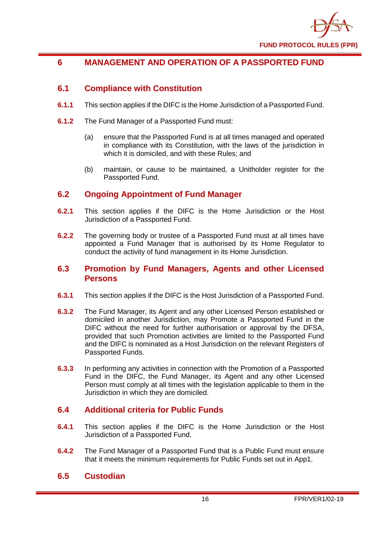

# <span id="page-18-0"></span>**6 MANAGEMENT AND OPERATION OF A PASSPORTED FUND**

# <span id="page-18-1"></span>**6.1 Compliance with Constitution**

- **6.1.1** This section applies if the DIFC is the Home Jurisdiction of a Passported Fund.
- **6.1.2** The Fund Manager of a Passported Fund must:
	- (a) ensure that the Passported Fund is at all times managed and operated in compliance with its Constitution, with the laws of the jurisdiction in which it is domiciled, and with these Rules; and
	- (b) maintain, or cause to be maintained, a Unitholder register for the Passported Fund.

# <span id="page-18-2"></span>**6.2 Ongoing Appointment of Fund Manager**

- **6.2.1** This section applies if the DIFC is the Home Jurisdiction or the Host Jurisdiction of a Passported Fund.
- **6.2.2** The governing body or trustee of a Passported Fund must at all times have appointed a Fund Manager that is authorised by its Home Regulator to conduct the activity of fund management in its Home Jurisdiction.

#### <span id="page-18-3"></span>**6.3 Promotion by Fund Managers, Agents and other Licensed Persons**

- **6.3.1** This section applies if the DIFC is the Host Jurisdiction of a Passported Fund.
- **6.3.2** The Fund Manager, its Agent and any other Licensed Person established or domiciled in another Jurisdiction, may Promote a Passported Fund in the DIFC without the need for further authorisation or approval by the DFSA, provided that such Promotion activities are limited to the Passported Fund and the DIFC is nominated as a Host Jurisdiction on the relevant Registers of Passported Funds.
- **6.3.3** In performing any activities in connection with the Promotion of a Passported Fund in the DIFC, the Fund Manager, its Agent and any other Licensed Person must comply at all times with the legislation applicable to them in the Jurisdiction in which they are domiciled.

# <span id="page-18-4"></span>**6.4 Additional criteria for Public Funds**

- **6.4.1** This section applies if the DIFC is the Home Jurisdiction or the Host Jurisdiction of a Passported Fund.
- **6.4.2** The Fund Manager of a Passported Fund that is a Public Fund must ensure that it meets the minimum requirements for Public Funds set out in App1.

#### <span id="page-18-5"></span>**6.5 Custodian**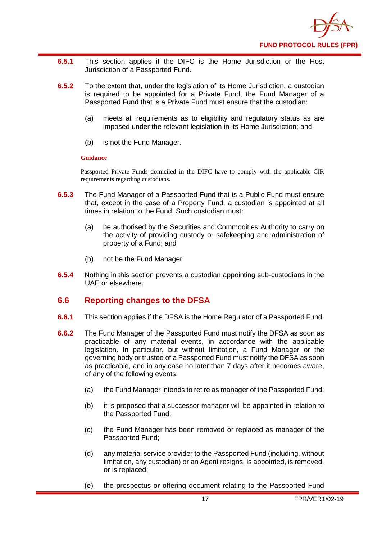

- **6.5.1** This section applies if the DIFC is the Home Jurisdiction or the Host Jurisdiction of a Passported Fund.
- **6.5.2** To the extent that, under the legislation of its Home Jurisdiction, a custodian is required to be appointed for a Private Fund, the Fund Manager of a Passported Fund that is a Private Fund must ensure that the custodian:
	- (a) meets all requirements as to eligibility and regulatory status as are imposed under the relevant legislation in its Home Jurisdiction; and
	- (b) is not the Fund Manager.

#### **Guidance**

Passported Private Funds domiciled in the DIFC have to comply with the applicable CIR requirements regarding custodians.

- **6.5.3** The Fund Manager of a Passported Fund that is a Public Fund must ensure that, except in the case of a Property Fund, a custodian is appointed at all times in relation to the Fund. Such custodian must:
	- (a) be authorised by the Securities and Commodities Authority to carry on the activity of providing custody or safekeeping and administration of property of a Fund; and
	- (b) not be the Fund Manager.
- **6.5.4** Nothing in this section prevents a custodian appointing sub-custodians in the UAE or elsewhere.

# <span id="page-19-0"></span>**6.6 Reporting changes to the DFSA**

- **6.6.1** This section applies if the DFSA is the Home Regulator of a Passported Fund.
- **6.6.2** The Fund Manager of the Passported Fund must notify the DFSA as soon as practicable of any material events, in accordance with the applicable legislation. In particular, but without limitation, a Fund Manager or the governing body or trustee of a Passported Fund must notify the DFSA as soon as practicable, and in any case no later than 7 days after it becomes aware, of any of the following events:
	- (a) the Fund Manager intends to retire as manager of the Passported Fund;
	- (b) it is proposed that a successor manager will be appointed in relation to the Passported Fund;
	- (c) the Fund Manager has been removed or replaced as manager of the Passported Fund;
	- (d) any material service provider to the Passported Fund (including, without limitation, any custodian) or an Agent resigns, is appointed, is removed, or is replaced;
	- (e) the prospectus or offering document relating to the Passported Fund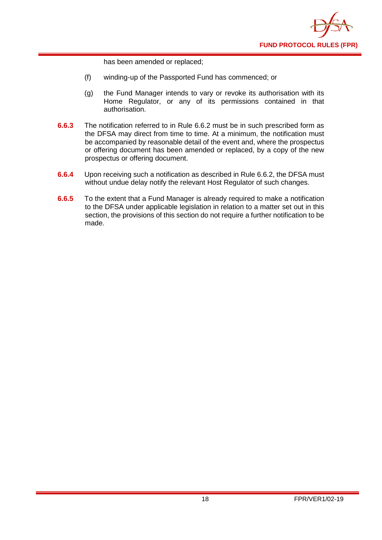

has been amended or replaced;

- (f) winding-up of the Passported Fund has commenced; or
- (g) the Fund Manager intends to vary or revoke its authorisation with its Home Regulator, or any of its permissions contained in that authorisation.
- **6.6.3** The notification referred to in Rule 6.6.2 must be in such prescribed form as the DFSA may direct from time to time. At a minimum, the notification must be accompanied by reasonable detail of the event and, where the prospectus or offering document has been amended or replaced, by a copy of the new prospectus or offering document.
- **6.6.4** Upon receiving such a notification as described in Rule 6.6.2, the DFSA must without undue delay notify the relevant Host Regulator of such changes.
- **6.6.5** To the extent that a Fund Manager is already required to make a notification to the DFSA under applicable legislation in relation to a matter set out in this section, the provisions of this section do not require a further notification to be made.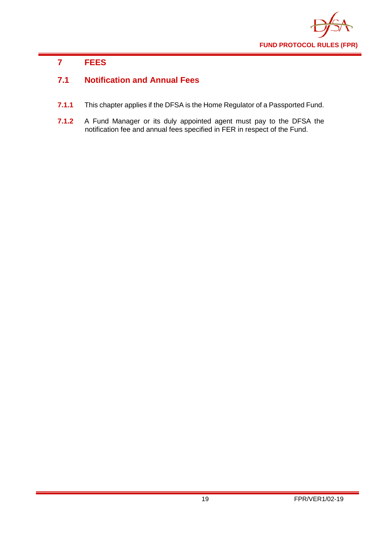

# <span id="page-21-0"></span>**7 FEES**

# <span id="page-21-1"></span>**7.1 Notification and Annual Fees**

- **7.1.1** This chapter applies if the DFSA is the Home Regulator of a Passported Fund.
- **7.1.2** A Fund Manager or its duly appointed agent must pay to the DFSA the notification fee and annual fees specified in FER in respect of the Fund.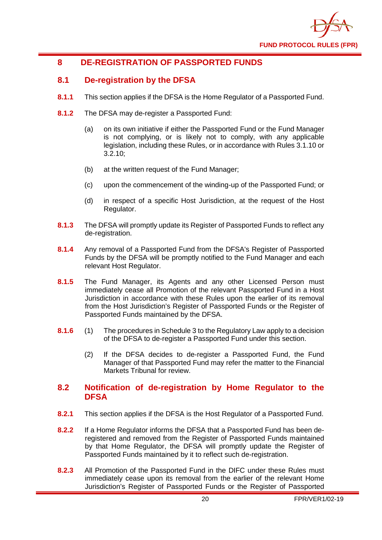

# <span id="page-22-0"></span>**8 DE-REGISTRATION OF PASSPORTED FUNDS**

# <span id="page-22-1"></span>**8.1 De-registration by the DFSA**

- **8.1.1** This section applies if the DFSA is the Home Regulator of a Passported Fund.
- **8.1.2** The DFSA may de-register a Passported Fund:
	- (a) on its own initiative if either the Passported Fund or the Fund Manager is not complying, or is likely not to comply, with any applicable legislation, including these Rules, or in accordance with Rules 3.1.10 or  $3.2.10$
	- (b) at the written request of the Fund Manager;
	- (c) upon the commencement of the winding-up of the Passported Fund; or
	- (d) in respect of a specific Host Jurisdiction, at the request of the Host Regulator.
- **8.1.3** The DFSA will promptly update its Register of Passported Funds to reflect any de-registration.
- **8.1.4** Any removal of a Passported Fund from the DFSA's Register of Passported Funds by the DFSA will be promptly notified to the Fund Manager and each relevant Host Regulator.
- **8.1.5** The Fund Manager, its Agents and any other Licensed Person must immediately cease all Promotion of the relevant Passported Fund in a Host Jurisdiction in accordance with these Rules upon the earlier of its removal from the Host Jurisdiction's Register of Passported Funds or the Register of Passported Funds maintained by the DFSA.
- **8.1.6** (1) The procedures in Schedule 3 to the Regulatory Law apply to a decision of the DFSA to de-register a Passported Fund under this section.
	- (2) If the DFSA decides to de-register a Passported Fund, the Fund Manager of that Passported Fund may refer the matter to the Financial Markets Tribunal for review.

### <span id="page-22-2"></span>**8.2 Notification of de-registration by Home Regulator to the DFSA**

- **8.2.1** This section applies if the DFSA is the Host Regulator of a Passported Fund.
- **8.2.2** If a Home Regulator informs the DFSA that a Passported Fund has been deregistered and removed from the Register of Passported Funds maintained by that Home Regulator, the DFSA will promptly update the Register of Passported Funds maintained by it to reflect such de-registration.
- **8.2.3** All Promotion of the Passported Fund in the DIFC under these Rules must immediately cease upon its removal from the earlier of the relevant Home Jurisdiction's Register of Passported Funds or the Register of Passported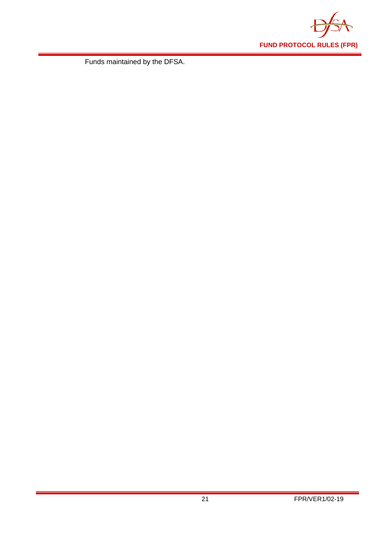

Funds maintained by the DFSA.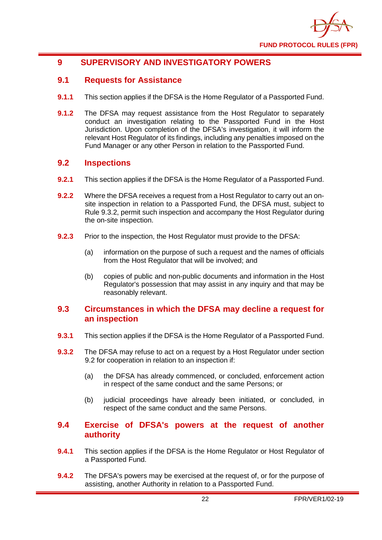

# <span id="page-24-0"></span>**9 SUPERVISORY AND INVESTIGATORY POWERS**

#### <span id="page-24-1"></span>**9.1 Requests for Assistance**

- **9.1.1** This section applies if the DFSA is the Home Regulator of a Passported Fund.
- **9.1.2** The DFSA may request assistance from the Host Regulator to separately conduct an investigation relating to the Passported Fund in the Host Jurisdiction. Upon completion of the DFSA's investigation, it will inform the relevant Host Regulator of its findings, including any penalties imposed on the Fund Manager or any other Person in relation to the Passported Fund.

#### <span id="page-24-2"></span>**9.2 Inspections**

- **9.2.1** This section applies if the DFSA is the Home Regulator of a Passported Fund.
- **9.2.2** Where the DFSA receives a request from a Host Regulator to carry out an onsite inspection in relation to a Passported Fund, the DFSA must, subject to Rule 9.3.2, permit such inspection and accompany the Host Regulator during the on-site inspection.
- **9.2.3** Prior to the inspection, the Host Regulator must provide to the DFSA:
	- (a) information on the purpose of such a request and the names of officials from the Host Regulator that will be involved; and
	- (b) copies of public and non-public documents and information in the Host Regulator's possession that may assist in any inquiry and that may be reasonably relevant.

#### <span id="page-24-3"></span>**9.3 Circumstances in which the DFSA may decline a request for an inspection**

- **9.3.1** This section applies if the DFSA is the Home Regulator of a Passported Fund.
- **9.3.2** The DFSA may refuse to act on a request by a Host Regulator under section 9.2 for cooperation in relation to an inspection if:
	- (a) the DFSA has already commenced, or concluded, enforcement action in respect of the same conduct and the same Persons; or
	- (b) judicial proceedings have already been initiated, or concluded, in respect of the same conduct and the same Persons.

#### <span id="page-24-4"></span>**9.4 Exercise of DFSA's powers at the request of another authority**

- **9.4.1** This section applies if the DFSA is the Home Regulator or Host Regulator of a Passported Fund.
- **9.4.2** The DFSA's powers may be exercised at the request of, or for the purpose of assisting, another Authority in relation to a Passported Fund.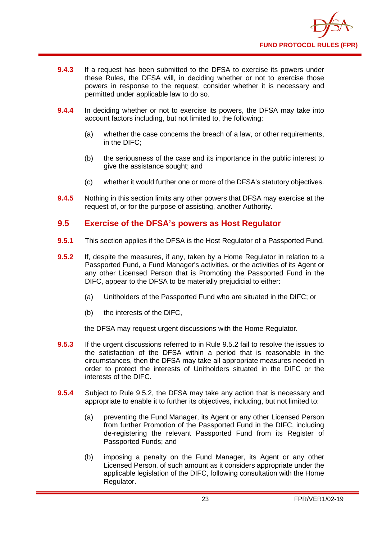

- **9.4.3** If a request has been submitted to the DFSA to exercise its powers under these Rules, the DFSA will, in deciding whether or not to exercise those powers in response to the request, consider whether it is necessary and permitted under applicable law to do so.
- **9.4.4** In deciding whether or not to exercise its powers, the DFSA may take into account factors including, but not limited to, the following:
	- (a) whether the case concerns the breach of a law, or other requirements, in the DIFC;
	- (b) the seriousness of the case and its importance in the public interest to give the assistance sought; and
	- (c) whether it would further one or more of the DFSA's statutory objectives.
- **9.4.5** Nothing in this section limits any other powers that DFSA may exercise at the request of, or for the purpose of assisting, another Authority.

#### <span id="page-25-0"></span>**9.5 Exercise of the DFSA's powers as Host Regulator**

- **9.5.1** This section applies if the DFSA is the Host Regulator of a Passported Fund.
- **9.5.2** If, despite the measures, if any, taken by a Home Regulator in relation to a Passported Fund, a Fund Manager's activities, or the activities of its Agent or any other Licensed Person that is Promoting the Passported Fund in the DIFC, appear to the DFSA to be materially prejudicial to either:
	- (a) Unitholders of the Passported Fund who are situated in the DIFC; or
	- (b) the interests of the DIFC,

the DFSA may request urgent discussions with the Home Regulator.

- **9.5.3** If the urgent discussions referred to in Rule 9.5.2 fail to resolve the issues to the satisfaction of the DFSA within a period that is reasonable in the circumstances, then the DFSA may take all appropriate measures needed in order to protect the interests of Unitholders situated in the DIFC or the interests of the DIFC.
- **9.5.4** Subject to Rule 9.5.2, the DFSA may take any action that is necessary and appropriate to enable it to further its objectives, including, but not limited to:
	- (a) preventing the Fund Manager, its Agent or any other Licensed Person from further Promotion of the Passported Fund in the DIFC, including de-registering the relevant Passported Fund from its Register of Passported Funds; and
	- (b) imposing a penalty on the Fund Manager, its Agent or any other Licensed Person, of such amount as it considers appropriate under the applicable legislation of the DIFC, following consultation with the Home Regulator.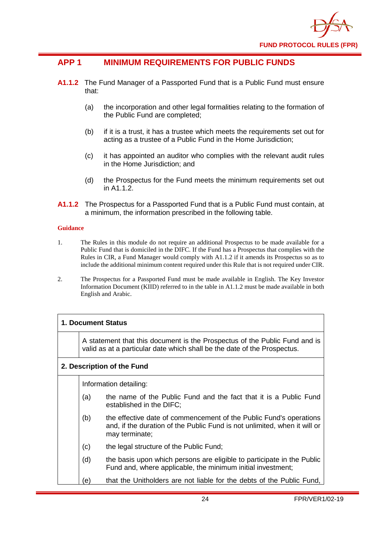

# <span id="page-26-0"></span>**APP 1 MINIMUM REQUIREMENTS FOR PUBLIC FUNDS**

- **A1.1.2** The Fund Manager of a Passported Fund that is a Public Fund must ensure that:
	- (a) the incorporation and other legal formalities relating to the formation of the Public Fund are completed;
	- (b) if it is a trust, it has a trustee which meets the requirements set out for acting as a trustee of a Public Fund in the Home Jurisdiction;
	- (c) it has appointed an auditor who complies with the relevant audit rules in the Home Jurisdiction; and
	- (d) the Prospectus for the Fund meets the minimum requirements set out in A1.1.2.
- **A1.1.2** The Prospectus for a Passported Fund that is a Public Fund must contain, at a minimum, the information prescribed in the following table.

#### **Guidance**

- 1. The Rules in this module do not require an additional Prospectus to be made available for a Public Fund that is domiciled in the DIFC. If the Fund has a Prospectus that complies with the Rules in CIR, a Fund Manager would comply with A1.1.2 if it amends its Prospectus so as to include the additional minimum content required under this Rule that is not required under CIR.
- 2. The Prospectus for a Passported Fund must be made available in English. The Key Investor Information Document (KIID) referred to in the table in A1.1.2 must be made available in both English and Arabic.

#### **1. Document Status**

A statement that this document is the Prospectus of the Public Fund and is valid as at a particular date which shall be the date of the Prospectus.

#### **2. Description of the Fund**

Information detailing:

- (a) the name of the Public Fund and the fact that it is a Public Fund established in the DIFC;
- (b) the effective date of commencement of the Public Fund's operations and, if the duration of the Public Fund is not unlimited, when it will or may terminate;
- (c) the legal structure of the Public Fund;
- (d) the basis upon which persons are eligible to participate in the Public Fund and, where applicable, the minimum initial investment;
- (e) that the Unitholders are not liable for the debts of the Public Fund,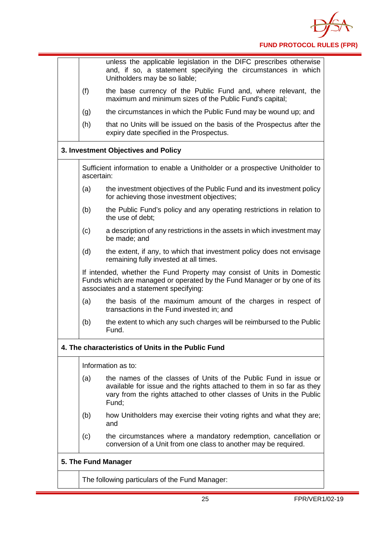

|     | unless the applicable legislation in the DIFC prescribes otherwise<br>and, if so, a statement specifying the circumstances in which<br>Unitholders may be so liable;                                                        |
|-----|-----------------------------------------------------------------------------------------------------------------------------------------------------------------------------------------------------------------------------|
| (f) | the base currency of the Public Fund and, where relevant, the<br>maximum and minimum sizes of the Public Fund's capital;                                                                                                    |
| (g) | the circumstances in which the Public Fund may be wound up; and                                                                                                                                                             |
| (h) | that no Units will be issued on the basis of the Prospectus after the<br>expiry date specified in the Prospectus.                                                                                                           |
|     | 3. Investment Objectives and Policy                                                                                                                                                                                         |
|     | Sufficient information to enable a Unitholder or a prospective Unitholder to<br>ascertain:                                                                                                                                  |
| (a) | the investment objectives of the Public Fund and its investment policy<br>for achieving those investment objectives;                                                                                                        |
| (b) | the Public Fund's policy and any operating restrictions in relation to<br>the use of debt:                                                                                                                                  |
| (c) | a description of any restrictions in the assets in which investment may<br>be made; and                                                                                                                                     |
| (d) | the extent, if any, to which that investment policy does not envisage<br>remaining fully invested at all times.                                                                                                             |
|     | If intended, whether the Fund Property may consist of Units in Domestic<br>Funds which are managed or operated by the Fund Manager or by one of its<br>associates and a statement specifying:                               |
| (a) | the basis of the maximum amount of the charges in respect of<br>transactions in the Fund invested in; and                                                                                                                   |
| (b) | the extent to which any such charges will be reimbursed to the Public<br>Fund.                                                                                                                                              |
|     | 4. The characteristics of Units in the Public Fund                                                                                                                                                                          |
|     | Information as to:                                                                                                                                                                                                          |
| (a) | the names of the classes of Units of the Public Fund in issue or<br>available for issue and the rights attached to them in so far as they<br>vary from the rights attached to other classes of Units in the Public<br>Fund; |
| (b) | how Unitholders may exercise their voting rights and what they are;<br>and                                                                                                                                                  |
| (c) | the circumstances where a mandatory redemption, cancellation or<br>conversion of a Unit from one class to another may be required.                                                                                          |
|     | 5. The Fund Manager                                                                                                                                                                                                         |
|     | The following particulars of the Fund Manager:                                                                                                                                                                              |
|     |                                                                                                                                                                                                                             |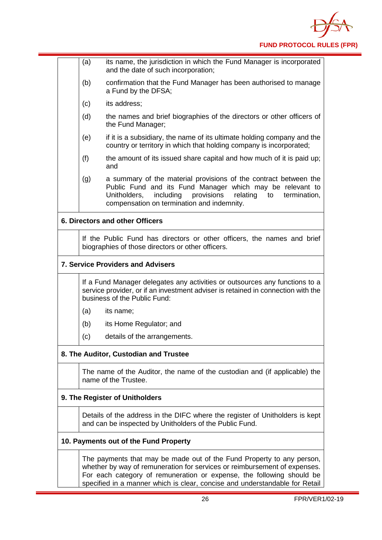

| (a) | its name, the jurisdiction in which the Fund Manager is incorporated<br>and the date of such incorporation;                                                                                                                                              |
|-----|----------------------------------------------------------------------------------------------------------------------------------------------------------------------------------------------------------------------------------------------------------|
| (b) | confirmation that the Fund Manager has been authorised to manage<br>a Fund by the DFSA;                                                                                                                                                                  |
| (c) | its address;                                                                                                                                                                                                                                             |
| (d) | the names and brief biographies of the directors or other officers of<br>the Fund Manager;                                                                                                                                                               |
| (e) | if it is a subsidiary, the name of its ultimate holding company and the<br>country or territory in which that holding company is incorporated;                                                                                                           |
| (f) | the amount of its issued share capital and how much of it is paid up;<br>and                                                                                                                                                                             |
| (g) | a summary of the material provisions of the contract between the<br>Public Fund and its Fund Manager which may be relevant to<br>including<br>provisions<br>relating<br>Unitholders,<br>to<br>termination,<br>compensation on termination and indemnity. |
|     | 6. Directors and other Officers                                                                                                                                                                                                                          |
|     | If the Public Fund has directors or other officers, the names and brief<br>biographies of those directors or other officers.                                                                                                                             |
|     | <b>7. Service Providers and Advisers</b>                                                                                                                                                                                                                 |
|     | If a Fund Manager delegates any activities or outsources any functions to a<br>service provider, or if an investment adviser is retained in connection with the<br>business of the Public Fund:                                                          |
| (a) | its name;                                                                                                                                                                                                                                                |
| (b) | its Home Regulator; and                                                                                                                                                                                                                                  |
| (c) | details of the arrangements.                                                                                                                                                                                                                             |
|     | 8. The Auditor, Custodian and Trustee                                                                                                                                                                                                                    |
|     | The name of the Auditor, the name of the custodian and (if applicable) the<br>name of the Trustee.                                                                                                                                                       |
|     |                                                                                                                                                                                                                                                          |
|     | 9. The Register of Unitholders                                                                                                                                                                                                                           |
|     | Details of the address in the DIFC where the register of Unitholders is kept<br>and can be inspected by Unitholders of the Public Fund.                                                                                                                  |
|     | 10. Payments out of the Fund Property                                                                                                                                                                                                                    |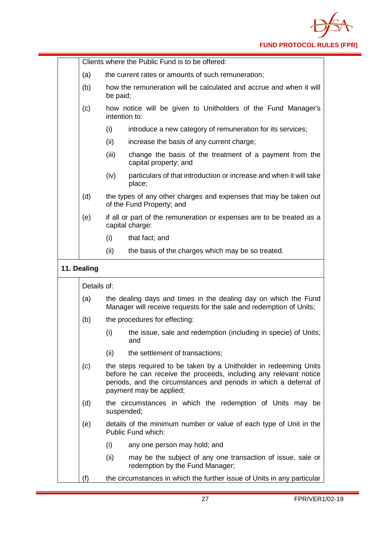

|             | Clients where the Public Fund is to be offered:                                                                                                                                                                                        |
|-------------|----------------------------------------------------------------------------------------------------------------------------------------------------------------------------------------------------------------------------------------|
| (a)         | the current rates or amounts of such remuneration;                                                                                                                                                                                     |
| (b)         | how the remuneration will be calculated and accrue and when it will<br>be paid;                                                                                                                                                        |
| (c)         | how notice will be given to Unitholders of the Fund Manager's<br>intention to:                                                                                                                                                         |
|             | introduce a new category of remuneration for its services;<br>(i)                                                                                                                                                                      |
|             | increase the basis of any current charge;<br>(ii)                                                                                                                                                                                      |
|             | (iii)<br>change the basis of the treatment of a payment from the<br>capital property; and                                                                                                                                              |
|             | particulars of that introduction or increase and when it will take<br>(iv)<br>place;                                                                                                                                                   |
| (d)         | the types of any other charges and expenses that may be taken out<br>of the Fund Property; and                                                                                                                                         |
| (e)         | if all or part of the remuneration or expenses are to be treated as a<br>capital charge:                                                                                                                                               |
|             | (i)<br>that fact; and                                                                                                                                                                                                                  |
|             | (ii)<br>the basis of the charges which may be so treated.                                                                                                                                                                              |
| 11. Dealing | Details of:                                                                                                                                                                                                                            |
| (a)         | the dealing days and times in the dealing day on which the Fund                                                                                                                                                                        |
|             | Manager will receive requests for the sale and redemption of Units;                                                                                                                                                                    |
| (b)         | the procedures for effecting:                                                                                                                                                                                                          |
|             | (i)<br>the issue, sale and redemption (including in specie) of Units;<br>and                                                                                                                                                           |
|             | the settlement of transactions;<br>(ii)                                                                                                                                                                                                |
| (c)         | the steps required to be taken by a Unitholder in redeeming Units<br>before he can receive the proceeds, including any relevant notice<br>periods, and the circumstances and periods in which a deferral of<br>payment may be applied; |
| (d)         | the circumstances in which the redemption of Units may be<br>suspended;                                                                                                                                                                |
| (e)         | details of the minimum number or value of each type of Unit in the<br>Public Fund which:                                                                                                                                               |
|             | (i)<br>any one person may hold; and                                                                                                                                                                                                    |
|             | (ii)<br>may be the subject of any one transaction of issue, sale or<br>redemption by the Fund Manager;                                                                                                                                 |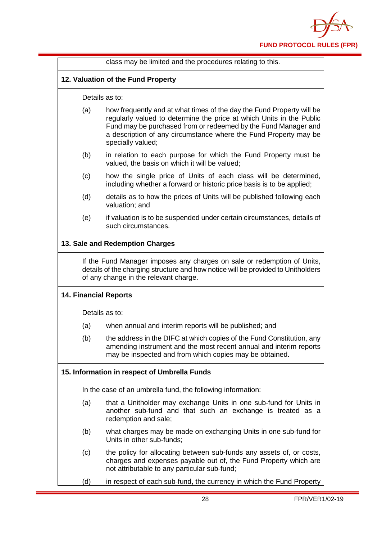

|     | class may be limited and the procedures relating to this.                                                                                                                                                                                                                                                |
|-----|----------------------------------------------------------------------------------------------------------------------------------------------------------------------------------------------------------------------------------------------------------------------------------------------------------|
|     | 12. Valuation of the Fund Property                                                                                                                                                                                                                                                                       |
|     | Details as to:                                                                                                                                                                                                                                                                                           |
| (a) | how frequently and at what times of the day the Fund Property will be<br>regularly valued to determine the price at which Units in the Public<br>Fund may be purchased from or redeemed by the Fund Manager and<br>a description of any circumstance where the Fund Property may be<br>specially valued; |
| (b) | in relation to each purpose for which the Fund Property must be<br>valued, the basis on which it will be valued;                                                                                                                                                                                         |
| (c) | how the single price of Units of each class will be determined,<br>including whether a forward or historic price basis is to be applied;                                                                                                                                                                 |
| (d) | details as to how the prices of Units will be published following each<br>valuation; and                                                                                                                                                                                                                 |
| (e) | if valuation is to be suspended under certain circumstances, details of<br>such circumstances.                                                                                                                                                                                                           |
|     | 13. Sale and Redemption Charges                                                                                                                                                                                                                                                                          |
|     | of any change in the relevant charge.<br><b>14. Financial Reports</b>                                                                                                                                                                                                                                    |
|     | Details as to:                                                                                                                                                                                                                                                                                           |
| (a) | when annual and interim reports will be published; and                                                                                                                                                                                                                                                   |
| (b) | the address in the DIFC at which copies of the Fund Constitution, any<br>amending instrument and the most recent annual and interim reports<br>may be inspected and from which copies may be obtained.                                                                                                   |
|     | 15. Information in respect of Umbrella Funds                                                                                                                                                                                                                                                             |
|     | In the case of an umbrella fund, the following information:                                                                                                                                                                                                                                              |
| (a) | that a Unitholder may exchange Units in one sub-fund for Units in<br>another sub-fund and that such an exchange is treated as a<br>redemption and sale;                                                                                                                                                  |
| (b) | what charges may be made on exchanging Units in one sub-fund for<br>Units in other sub-funds;                                                                                                                                                                                                            |
| (c) | the policy for allocating between sub-funds any assets of, or costs,<br>charges and expenses payable out of, the Fund Property which are<br>not attributable to any particular sub-fund;                                                                                                                 |
| (d) | in respect of each sub-fund, the currency in which the Fund Property                                                                                                                                                                                                                                     |